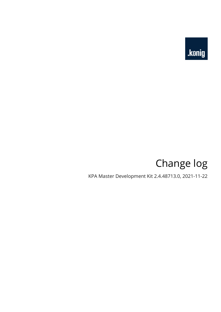

# Change log

KPA Master Development Kit 2.4.48713.0, 2021-11-22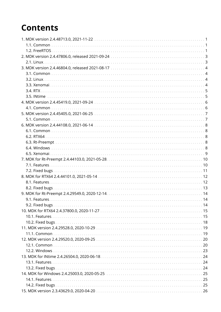## **Contents**

| 9.2. Fixed bugs |  |
|-----------------|--|
|                 |  |
|                 |  |
|                 |  |
|                 |  |
|                 |  |
|                 |  |
|                 |  |
|                 |  |
|                 |  |
|                 |  |
|                 |  |
|                 |  |
|                 |  |
|                 |  |
|                 |  |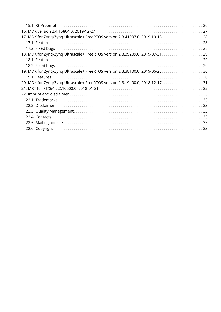| 17. MDK for Zyng/Zyng Ultrascale+ FreeRTOS version 2.3.41907.0, 2019-10-18. 28 |  |
|--------------------------------------------------------------------------------|--|
|                                                                                |  |
|                                                                                |  |
| 18. MDK for Zynq/Zynq Ultrascale+ FreeRTOS version 2.3.39209.0, 2019-07-31. 29 |  |
|                                                                                |  |
|                                                                                |  |
| 19. MDK for Zynq/Zynq Ultrascale+ FreeRTOS version 2.3.38100.0, 2019-06-28. 30 |  |
|                                                                                |  |
| 20. MDK for Zynq/Zynq Ultrascale+ FreeRTOS version 2.3.19400.0, 2018-12-17. 31 |  |
|                                                                                |  |
|                                                                                |  |
|                                                                                |  |
|                                                                                |  |
|                                                                                |  |
|                                                                                |  |
|                                                                                |  |
|                                                                                |  |
|                                                                                |  |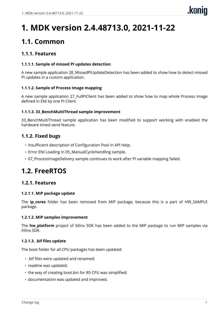# <span id="page-3-0"></span>**1. MDK version 2.4.48713.0, 2021-11-22**

### <span id="page-3-1"></span>**1.1. Common**

#### **1.1.1. Features**

#### **1.1.1.1. Sample of missed PI updates detection**

A new sample application 28\_MissedPIUpdateDetection has been added to show how to detect missed PI updates in a custom application.

#### **1.1.1.2. Sample of Process Image mapping**

A new sample application 27 FullPIClient has been added to show how to map whole Process Image defined in ENI by one PI Client.

#### **1.1.1.3. 33\_BenchMultiThread sample improvement**

33\_BenchMultiThread sample application has been modified to support working with enabled the hardware timed send feature.

#### **1.1.2. Fixed bugs**

- Insufficient description of Configuration Pool in API Help.
- Error ENI Loading in 05\_ManualCycleHandling sample.
- 07\_ProcessImageDelivery sample continues to work after PI variable mapping failed.

### <span id="page-3-2"></span>**1.2. FreeRTOS**

#### **1.2.1. Features**

#### **1.2.1.1. MIP package update**

The **ip\_cores** folder has been removed from MIP package, because this is a part of HW\_SAMPLE package.

#### **1.2.1.2. MIP samples improvement**

The **hw\_platform** project of Xilinx SDK has been added to the MIP package to run MIP samples via Xilinx SDK.

#### **1.2.1.3. .bif files update**

The boot folder for all CPU packages has been updated:

- .bif files were updated and renamed;
- readme was updated;
- the way of creating boot.bin for R5 CPU was simplified;
- documentation was updated and improved.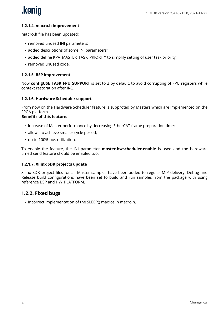# .koniq

#### **1.2.1.4. macro.h improvement**

**macro.h** file has been updated:

- removed unused INI parameters;
- added descriptions of some INI parameters;
- added define KPA\_MASTER\_TASK\_PRIORITY to simplify setting of user task priority;
- removed unused code.

#### **1.2.1.5. BSP improvement**

Now **configUSE TASK FPU SUPPORT** is set to 2 by default, to avoid corrupting of FPU registers while context restoration after IRQ.

#### **1.2.1.6. Hardware Scheduler support**

From now on the Hardware Scheduler feature is supproted by Masters which are implemented on the FPGA platform.

#### **Benefits of this feature:**

- increase of Master performance by decreasing EtherCAT frame preparation time;
- allows to achieve smaller cycle period;
- up to 100% bus utilization.

To enable the feature, the INI parameter **master.hwscheduler.enable** is used and the hardware timed send feature should be enabled too.

#### **1.2.1.7. Xilinx SDK projects update**

Xilinx SDK project files for all Master samples have been added to regular MIP delivery. Debug and Release build configurations have been set to build and run samples from the package with using reference BSP and HW\_PLATFORM.

#### **1.2.2. Fixed bugs**

• Incorrect implementation of the SLEEP() macros in macro.h.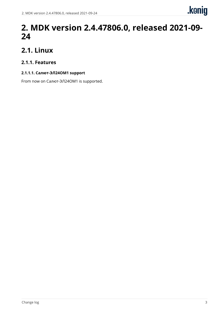

### <span id="page-5-0"></span>**2. MDK version 2.4.47806.0, released 2021-09- 24**

### <span id="page-5-1"></span>**2.1. Linux**

#### **2.1.1. Features**

#### **2.1.1.1. Салют-ЭЛ24ОМ1 support**

From now on Салют-ЭЛ24ОМ1 is supported.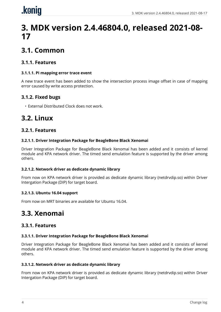# <span id="page-6-0"></span>.koniq

## **3. MDK version 2.4.46804.0, released 2021-08- 17**

### <span id="page-6-1"></span>**3.1. Common**

#### **3.1.1. Features**

#### **3.1.1.1. PI mapping error trace event**

A new trace event has been added to show the intersection process image offset in case of mapping error caused by write access protection.

#### **3.1.2. Fixed bugs**

• External Distributed Clock does not work.

### <span id="page-6-2"></span>**3.2. Linux**

#### **3.2.1. Features**

#### **3.2.1.1. Driver Integration Package for BeagleBone Black Xenomai**

Driver Integration Package for BeagleBone Black Xenomai has been added and it consists of kernel module and KPA network driver. The timed send emulation feature is supported by the driver among others.

#### **3.2.1.2. Network driver as dedicate dynamic library**

From now on KPA network driver is provided as dedicate dynamic library (netdrvdip.so) within Driver Intergation Package (DIP) for target board.

#### **3.2.1.3. Ubuntu 16.04 support**

From now on MRT binaries are available for Ubuntu 16.04.

### <span id="page-6-3"></span>**3.3. Xenomai**

#### **3.3.1. Features**

#### **3.3.1.1. Driver Integration Package for BeagleBone Black Xenomai**

Driver Integration Package for BeagleBone Black Xenomai has been added and it consists of kernel module and KPA network driver. The timed send emulation feature is supported by the driver among others.

#### **3.3.1.2. Network driver as dedicate dynamic library**

From now on KPA network driver is provided as dedicate dynamic library (netdrvdip.so) within Driver Intergation Package (DIP) for target board.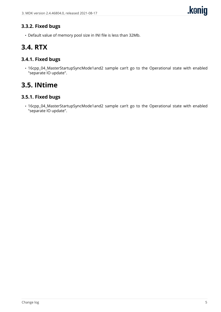#### **3.3.2. Fixed bugs**

• Default value of memory pool size in INI file is less than 32Mb.

### <span id="page-7-0"></span>**3.4. RTX**

#### **3.4.1. Fixed bugs**

• 16cpp\_04\_MasterStartupSyncMode1and2 sample can't go to the Operational state with enabled "separate IO update".

### <span id="page-7-1"></span>**3.5. INtime**

#### **3.5.1. Fixed bugs**

• 16cpp\_04\_MasterStartupSyncMode1and2 sample can't go to the Operational state with enabled "separate IO update".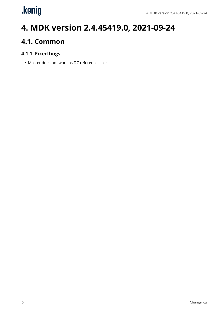# <span id="page-8-0"></span>.kenig

## **4. MDK version 2.4.45419.0, 2021-09-24**

### <span id="page-8-1"></span>**4.1. Common**

#### **4.1.1. Fixed bugs**

• Master does not work as DC reference clock.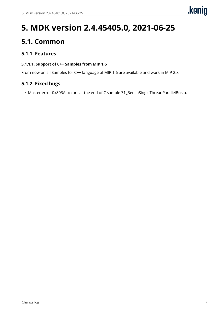# <span id="page-9-0"></span>**5. MDK version 2.4.45405.0, 2021-06-25**

### <span id="page-9-1"></span>**5.1. Common**

#### **5.1.1. Features**

#### **5.1.1.1. Support of C++ Samples from MIP 1.6**

From now on all Samples for C++ language of MIP 1.6 are available and work in MIP 2.x.

#### **5.1.2. Fixed bugs**

• Master error 0x803A occurs at the end of C sample 31\_BenchSingleThreadParallelBusIo.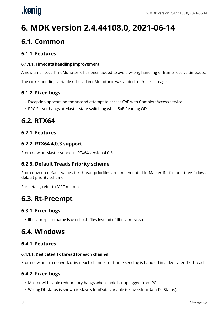# <span id="page-10-0"></span>.konig

# **6. MDK version 2.4.44108.0, 2021-06-14**

### <span id="page-10-1"></span>**6.1. Common**

#### **6.1.1. Features**

#### **6.1.1.1. Timeouts handling improvement**

A new timer LocalTimeMonotonic has been added to avoid wrong handling of frame receive timeouts.

The corresponding variable nsLocalTimeMonotonic was added to Process Image.

#### **6.1.2. Fixed bugs**

- Exception appears on the second attempt to access CoE with CompleteAccess service.
- RPC Server hangs at Master state switching while SoE Reading OD.

### <span id="page-10-2"></span>**6.2. RTX64**

#### **6.2.1. Features**

#### **6.2.2. RTX64 4.0.3 support**

From now on Master supports RTX64 version 4.0.3.

#### **6.2.3. Default Treads Priority scheme**

From now on default values for thread priorities are implemented in Master INI file and they follow a default priority scheme .

For details, refer to MRT manual.

### <span id="page-10-3"></span>**6.3. Rt-Preempt**

#### **6.3.1. Fixed bugs**

• libecatmrpc.so name is used in .h files instead of libecatmsvr.so.

### <span id="page-10-4"></span>**6.4. Windows**

#### **6.4.1. Features**

#### **6.4.1.1. Dedicated Tx thread for each channel**

From now on in a network driver each channel for frame sending is handled in a dedicated Tx thread.

#### **6.4.2. Fixed bugs**

- Master with cable redundancy hangs when cable is unplugged from PC.
- Wrong DL status is shown in slave's InfoData variable (<Slave>.InfoData.DL Status).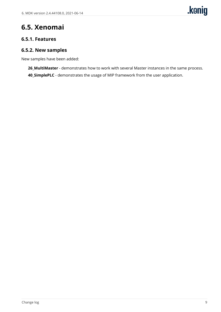### <span id="page-11-0"></span>**6.5. Xenomai**

#### **6.5.1. Features**

#### **6.5.2. New samples**

New samples have been added:

**26\_MultiMaster** - demonstrates how to work with several Master instances in the same process. **40\_SimplePLC** - demonstrates the usage of MIP framework from the user application.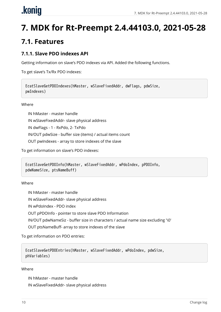# <span id="page-12-0"></span>.koniq

# **7. MDK for Rt-Preempt 2.4.44103.0, 2021-05-28**

### <span id="page-12-1"></span>**7.1. Features**

#### **7.1.1. Slave PDO indexes API**

Getting information on slave's PDO indexes via API. Added the following functions.

To get slave's Tx/Rx PDO indexes:

```
EcatSlaveGetPDOIndexes(hMaster, wSlaveFixedAddr, dwFlags, pdwSize,
pwIndexes)
```
**Where** 

IN hMaster - master handle

IN wSlaveFixedAddr- slave physical address

IN dwFlags - 1 - RxPdo, 2- TxPdo

IN/OUT pdwSize - buffer size (items) / actual items count

OUT pwIndexes - array to store indexes of the slave

To get information on slave's PDO indexes:

```
EcatSlaveGetPDOInfo(hMaster, wSlaveFixedAddr, wPdoIndex, pPDOInfo,
pdwNameSize, ptsNameBuff)
```
Where

IN hMaster - master handle

IN wSlaveFixedAddr- slave physical address

IN wPdoIndex - PDO index

OUT pPDOInfo - pointer to store slave PDO Information

IN/OUT pdwNameSiz - buffer size in characters / actual name size excluding '\0'

OUT ptsNameBuff- array to store indexes of the slave

To get information on PDO entries:

```
EcatSlaveGetPDOEntries(hMaster, wSlaveFixedAddr, wPdoIndex, pdwSize,
phVariables)
```
#### Where

IN hMaster - master handle

IN wSlaveFixedAddr- slave physical address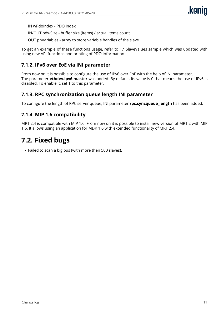IN wPdoIndex - PDO index

IN/OUT pdwSize - buffer size (items) / actual items count

OUT phVariables - array to store variable handles of the slave

To get an example of these functions usage, refer to 17\_SlaveValues sample which was updated with using new API functions and printing of PDO Information .

#### **7.1.2. IPv6 over EoE via INI parameter**

From now on it is possible to configure the use of IPv6 over EoE with the help of INI parameter. The parameter **ethdev.ipv6.master** was added. By default, its value is 0 that means the use of IPv6 is disabled. To enable it, set 1 to this parameter.

#### **7.1.3. RPC synchronization queue length INI parameter**

To configure the length of RPC server queue, INI parameter **rpc.syncqueue length** has been added.

#### **7.1.4. MIP 1.6 compatibility**

MRT 2.4 is compatible with MIP 1.6. From now on it is possible to install new version of MRT 2 with MIP 1.6. It allows using an application for MDK 1.6 with extended functionality of MRT 2.4.

### <span id="page-13-0"></span>**7.2. Fixed bugs**

• Failed to scan a big bus (with more then 500 slaves).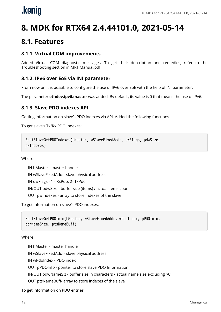# <span id="page-14-0"></span>.koniq

# **8. MDK for RTX64 2.4.44101.0, 2021-05-14**

### <span id="page-14-1"></span>**8.1. Features**

#### **8.1.1. Virtual COM improvements**

Added Virtual COM diagnostic messages. To get their description and remedies, refer to the Troubleshooting section in MRT Manual.pdf.

#### **8.1.2. IPv6 over EoE via INI parameter**

From now on it is possible to configure the use of IPv6 over EoE with the help of INI parameter.

The parameter **ethdev.ipv6.master** was added. By default, its value is 0 that means the use of IPv6.

#### **8.1.3. Slave PDO indexes API**

Getting information on slave's PDO indexes via API. Added the following functions.

To get slave's Tx/Rx PDO indexes:

```
EcatSlaveGetPDOIndexes(hMaster, wSlaveFixedAddr, dwFlags, pdwSize,
pwIndexes)
```
#### Where

IN hMaster - master handle IN wSlaveFixedAddr- slave physical address IN dwFlags - 1 - RxPdo, 2- TxPdo IN/OUT pdwSize - buffer size (items) / actual items count OUT pwIndexes - array to store indexes of the slave

To get information on slave's PDO indexes:

```
EcatSlaveGetPDOInfo(hMaster, wSlaveFixedAddr, wPdoIndex, pPDOInfo,
pdwNameSize, ptsNameBuff)
```
#### Where

IN hMaster - master handle IN wSlaveFixedAddr- slave physical address IN wPdoIndex - PDO index OUT pPDOInfo - pointer to store slave PDO Information IN/OUT pdwNameSiz - buffer size in characters / actual name size excluding '\0' OUT ptsNameBuff- array to store indexes of the slave

To get information on PDO entries: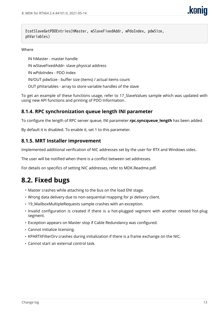EcatSlaveGetPDOEntries(hMaster, wSlaveFixedAddr, wPdoIndex, pdwSize, phVariables)

#### Where

IN hMaster - master handle

IN wSlaveFixedAddr- slave physical address

IN wPdoIndex - PDO index

IN/OUT pdwSize - buffer size (items) / actual items count

OUT phVariables - array to store variable handles of the slave

To get an example of these functions usage, refer to 17\_SlaveValues sample which was updated with using new API functions and printing of PDO Information .

#### **8.1.4. RPC synchronization queue length INI parameter**

To configure the length of RPC server queue, INI parameter **rpc.syncqueue length** has been added.

By default it is disabled. To enable it, set 1 to this parameter.

#### **8.1.5. MRT Installer improvement**

Implemented additional verification of NIC addresses set by the user for RTX and Windows sides.

The user will be notified when there is a conflict between set addresses.

For details on specifics of setting NIC addresses, refer to MDK.Readme.pdf.

### <span id="page-15-0"></span>**8.2. Fixed bugs**

- Master crashes while attaching to the bus on the load ENI stage.
- Wrong data delivery due to non-sequential mapping for pi delivery client.
- 19\_MailboxMultipleRequests sample crashes with an exception.
- Invalid configuration is created if there is a hot-plugged segment with another nested hot-plug segment.
- Exception appears on Master stop if Cable Redundancy was configured.
- Cannot initialize licensing.
- KPARTXFilterDrv crashes during initialization if there is a frame exchange on the NIС.
- Cannot start an external control task.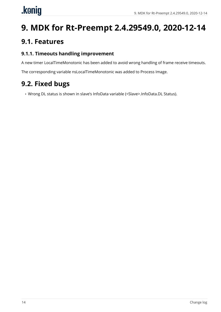# <span id="page-16-0"></span>.konig

# **9. MDK for Rt-Preempt 2.4.29549.0, 2020-12-14**

### <span id="page-16-1"></span>**9.1. Features**

#### **9.1.1. Timeouts handling improvement**

A new timer LocalTimeMonotonic has been added to avoid wrong handling of frame receive timeouts.

The corresponding variable nsLocalTimeMonotonic was added to Process Image.

### <span id="page-16-2"></span>**9.2. Fixed bugs**

• Wrong DL status is shown in slave's InfoData variable (<Slave>.InfoData.DL Status).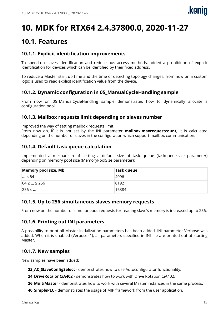## <span id="page-17-0"></span>**10. MDK for RTX64 2.4.37800.0, 2020-11-27**

### <span id="page-17-1"></span>**10.1. Features**

#### **10.1.1. Explicit identification improvements**

To speed-up slaves identification and reduce bus access methods, added a prohibition of explicit identification for devices which can be identified by their fixed address.

To reduce a Master start up time and the time of detecting topology changes, from now on a custom logic is used to read explicit identification value from the device.

#### **10.1.2. Dynamic configuration in 05\_ManualCycleHandling sample**

From now on 05\_ManualCycleHandling sample demonstrates how to dynamically allocate a configuration pool.

#### **10.1.3. Mailbox requests limit depending on slaves number**

Improved the way of setting mailbox requests limit.

From now on, if it is not set by the INI parameter **mailbox.maxrequestcount**, it is calculated depending on the number of slaves in the configuration which support mailbox communication.

#### **10.1.4. Default task queue calculation**

Implemented a mechanism of setting a default size of task queue (taskqueue.size parameter) depending on memory pool size (MemoryPoolSize parameter):

| Memory pool size, Mb | Task queue |
|----------------------|------------|
| $\ldots$ < 64        | 4096       |
| $64 \leq  \geq 256$  | 8192       |
| $256 \leq $          | 16384      |

#### **10.1.5. Up to 256 simultaneous slaves memory requests**

From now on the number of simultaneous requests for reading slave's memory is increased up to 256.

#### **10.1.6. Printing out INI parameters**

A possibility to print all Master initialization parameters has been added. INI parameter Verbose was added. When it is enabled (Verbose=1), all parameters specified in INI file are printed out at starting Master.

#### **10.1.7. New samples**

New samples have been added:

**23\_AC\_SlaveConfigSelect** - demonstrates how to use Autoconfigurator functionality.

**24\_DriveRotaionCiA402** - demonstrates how to work with Drive Rotation CiA402.

**26\_MultiMaster** - demonstrates how to work with several Master instances in the same process.

**40 SimplePLC** - demonstrates the usage of MIP framework from the user application.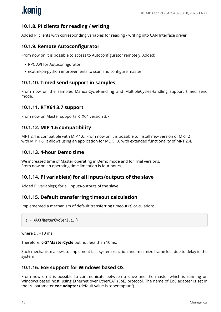#### **10.1.8. PI clients for reading / writing**

Added PI clients with corresponding variables for reading / writing into CAN Interface driver.

#### **10.1.9. Remote Autoconfigurator**

From now on it is possible to access to Autoconfigurator remotely. Added:

- RPC API for Autoconfigurator;
- ecatmkpa-python improvements to scan and configure master.

#### **10.1.10. Timed send support in samples**

From now on the samples ManualCycleHandling and MultipleCyclesHandling support timed send mode.

#### **10.1.11. RTX64 3.7 support**

From now on Master supports RTX64 version 3.7.

#### **10.1.12. MIP 1.6 compatibility**

MRT 2.4 is compatible with MIP 1.6. From now on it is possible to install new version of MRT 2 with MIP 1.6. It allows using an application for MDK 1.6 with extended functionality of MRT 2.4.

#### **10.1.13. 4-hour Demo time**

We increased time of Master operating in Demo mode and for Trial versions. From now on an operating time limitation is four hours.

#### **10.1.14. PI variable(s) for all inputs/outputs of the slave**

Added PI variable(s) for all inputs/outputs of the slave.

#### **10.1.15. Default transferring timeout calculation**

Implemented a mechanism of default transferring timeout (**t**) calculation:

```
t = MAX(MasterCycle*2, t_{min})
```
where  $t_{\text{min}}$ =10 ms

Therefore, **t=2\*MasterCycle** but not less than 10ms.

Such mechanism allows to implement fast system reaction and minimize frame lost due to delay in the system

#### **10.1.16. EoE support for Windows based OS**

From now on it is possible to communicate between a slave and the master which is running on Windows based host, using Ethernet over EtherCAT (EoE) protocol. The name of EoE adapter is set in the INI parameter **eoe.adapter** (default value is "opentaptun").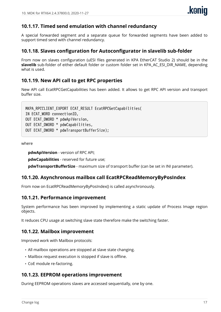#### **10.1.17. Timed send emulation with channel redundancy**

A special forwarded segment and a separate queue for forwarded segments have been added to support timed send with channel redundancy.

#### **10.1.18. Slaves configuration for Autoconfigurator in slavelib sub-folder**

From now on slaves configuration (uESI files generated in KPA EtherCAT Studio 2) should be in the slavelib sub-folder of either default folder or custom folder set in KPA AC\_ESI\_DIR\_NAME, depending what is used.

#### **10.1.19. New API call to get RPC properties**

New API call EcatRPCGetCapabilities has been added. It allows to get RPC API version and transport buffer size.

MKPA RPCCLIENT EXPORT ECAT RESULT EcatRPCGetCapabilities( IN ECAT\_WORD connectionID, OUT ECAT\_DWORD \* pdwApiVersion, OUT ECAT\_DWORD \* pdwCapabilities, OUT ECAT\_DWORD \* pdwTransportBufferSize);

where

**pdwApiVersion** - version of RPC API;

**pdwCapabilities** - reserved for future use;

**pdwTransportBufferSize** - maximum size of transport buffer (can be set in INI parameter).

#### **10.1.20. Asynchronous mailbox call EcatRPCReadMemoryByPosIndex**

From now on EcatRPCReadMemoryByPosIndex() is called asynchronously.

#### **10.1.21. Performance improvement**

System performance has been improved by implementing a static update of Process Image region objects.

It reduces CPU usage at switching slave state therefore make the switching faster.

#### **10.1.22. Mailbox improvement**

Improved work with Mailbox protocols:

- All mailbox operations are stopped at slave state changing.
- Mailbox request execution is stopped if slave is offline.
- CoE module re-factoring.

#### **10.1.23. EEPROM operations improvement**

During EEPROM operations slaves are accessed sequentially, one by one.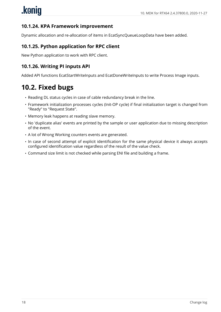#### **10.1.24. KPA Framework improvement**

Dynamic allocation and re-allocation of items in EcatSyncQueueLoopData have been added.

#### **10.1.25. Python application for RPC client**

New Python application to work with RPC client.

#### **10.1.26. Writing PI inputs API**

Added API functions EcatStartWriteInputs and EcatDoneWriteInputs to write Process Image inputs.

### <span id="page-20-0"></span>**10.2. Fixed bugs**

- Reading DL status cycles in case of cable redundancy break in the line.
- Framework initialization processes cycles (Init-OP cycle) if final initialization target is changed from "Ready" to "Request State".
- Memory leak happens at reading slave memory.
- No 'duplicate alias' events are printed by the sample or user application due to missing description of the event.
- A lot of Wrong Working counters events are generated.
- In case of second attempt of explicit identification for the same physical device it always accepts configured identification value regardless of the result of the value check.
- Command size limit is not checked while parsing ENI file and building a frame.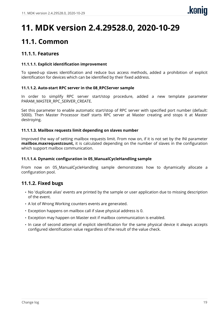## <span id="page-21-0"></span>**11. MDK version 2.4.29528.0, 2020-10-29**

### <span id="page-21-1"></span>**11.1. Common**

#### **11.1.1. Features**

#### **11.1.1.1. Explicit identification improvement**

To speed-up slaves identification and reduce bus access methods, added a prohibition of explicit identification for devices which can be identified by their fixed address.

#### **11.1.1.2. Auto-start RPC server in the 08\_RPCServer sample**

In order to simplify RPC server start/stop procedure, added a new template parameter PARAM\_MASTER\_RPC\_SERVER\_CREATE.

Set this parameter to enable automatic start/stop of RPC server with specified port number (default: 5000). Then Master Processor itself starts RPC server at Master creating and stops it at Master destroying.

#### **11.1.1.3. Mailbox requests limit depending on slaves number**

Improved the way of setting mailbox requests limit. From now on, if it is not set by the INI parameter **mailbox.maxrequestcount,** it is calculated depending on the number of slaves in the configuration which support mailbox communication.

#### **11.1.1.4. Dynamic configuration in 05\_ManualCycleHandling sample**

From now on 05\_ManualCycleHandling sample demonstrates how to dynamically allocate a configuration pool.

#### **11.1.2. Fixed bugs**

- No 'duplicate alias' events are printed by the sample or user application due to missing description of the event.
- A lot of Wrong Working counters events are generated.
- Exception happens on mailbox call if slave physical address is 0.
- Exception may happen on Master exit if mailbox communication is enabled.
- In case of second attempt of explicit identification for the same physical device it always accepts configured identification value regardless of the result of the value check.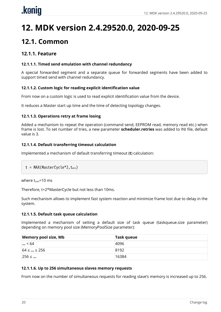# <span id="page-22-0"></span>**12. MDK version 2.4.29520.0, 2020-09-25**

### <span id="page-22-1"></span>**12.1. Common**

#### **12.1.1. Feature**

#### **12.1.1.1. Timed send emulation with channel redundancy**

A special forwarded segment and a separate queue for forwarded segments have been added to support timed send with channel redundancy.

#### **12.1.1.2. Custom logic for reading explicit identification value**

From now on a custom logic is used to read explicit identification value from the device.

It reduces a Master start up time and the time of detecting topology changes.

#### **12.1.1.3. Operations retry at frame losing**

Added a mechanism to repeat the operation (command send, EEPROM read, memory read etc.) when frame is lost. To set number of tries, a new parameter **scheduler.retries** was added to INI file, default value is 3.

#### **12.1.1.4. Default transferring timeout calculation**

Implemented a mechanism of default transferring timeout (**t**) calculation:

```
t = MAX(MasterCycle*2, t_{min})
```
where  $t_{min}$ =10 ms

Therefore, t=2\*MasterCycle but not less than 10ms.

Such mechanism allows to implement fast system reaction and minimize frame lost due to delay in the system.

#### **12.1.1.5. Default task queue calculation**

Implemented a mechanism of setting a default size of task queue (taskqueue.size parameter) depending on memory pool size (MemoryPoolSize parameter):

| Memory pool size, Mb | Task queue |
|----------------------|------------|
| $\ldots$ < 64        | 4096       |
| $64 \leq  \geq 256$  | 8192       |
| $256 \leq $          | 16384      |

#### **12.1.1.6. Up to 256 simultaneous slaves memory requests**

From now on the number of simultaneous requests for reading slave's memory is increased up to 256.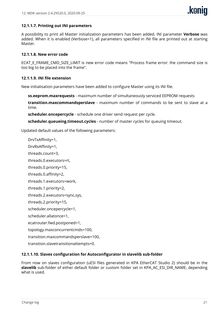

#### **12.1.1.7. Printing out INI parameters**

A possibility to print all Master initialization parameters has been added. INI parameter **Verbose** was added. When it is enabled (Verbose=1), all parameters specified in INI file are printed out at starting Master.

#### **12.1.1.8. New error code**

ECAT\_E\_FRAME\_CMD\_SIZE\_LIMIT is new error code means "Process frame error: the command size is too big to be placed into the frame".

#### **12.1.1.9. INI file extension**

New initialisation parameters have been added to configure Master using its INI file.

**ss.eeprom.maxrequests** - maximum number of simultaneously serviced EEPROM requests

**transition.maxcommandsperslave** - maximum number of commands to be sent to slave at a time.

**scheduler.oncepercycle** - schedule one driver send request per cycle.

**scheduler.queueing.timeout.cycles** - number of master cycles for queuing timeout.

Updated default values of the following parameters:

DrvTxAffinity=1, DrvRxAffinity=1, threads.count=3, threads.0.executors=rt, threads.0.priority=15, threads.0.affinity=2, threads.1.executors=work, threads.1.priority=2, threads.2.executors=sync,sys, threads.2.priority=15, scheduler.oncepercycle=1, scheduler.allatonce=1, ecatrouter.fwd.postponed=1, topology.maxconcurrentcmds=100, transition.maxcommandsperslave=100, transition.slavetransitionattempts=0.

#### **12.1.1.10. Slaves configuration for Autoconfigurator in slavelib sub-folder**

From now on slaves configuration (uESI files generated in KPA EtherCAT Studio 2) should be in the **slavelib** sub-folder of either default folder or custom folder set in KPA\_AC\_ESI\_DIR\_NAME, depending what is used.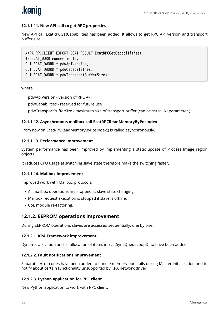

#### **12.1.1.11. New API call to get RPC properties**

New API call EcatRPCGetCapabilities has been added. It allows to get RPC API version and transport buffer size.

MKPA\_RPCCLIENT\_EXPORT ECAT\_RESULT EcatRPCGetCapabilities( IN ECAT\_WORD connectionID, OUT ECAT\_DWORD \* pdwApiVersion, OUT ECAT\_DWORD \* pdwCapabilities, OUT ECAT\_DWORD \* pdwTransportBufferSize);

#### where

pdwApiVersion - version of RPC API

pdwCapabilities - reserved for future use

pdwTransportBufferSize - maximum size of transport buffer (can be set in INI parameter )

#### **12.1.1.12. Asynchronous mailbox call EcatRPCReadMemoryByPosIndex**

From now on EcatRPCReadMemoryByPosIndex() is called asynchronously.

#### **12.1.1.13. Performance improvement**

System performance has been improved by implementing a static update of Process Image region objects.

It reduces CPU usage at switching slave state therefore make the switching faster.

#### **12.1.1.14. Mailbox improvement**

Improved work with Mailbox protocols:

- All mailbox operations are stopped at slave state changing.
- Mailbox request execution is stopped if slave is offline.
- CoE module re-factoring.

#### **12.1.2. EEPROM operations improvement**

During EEPROM operations slaves are accessed sequentially, one by one.

#### **12.1.2.1. KPA Framework improvement**

Dynamic allocation and re-allocation of items in EcatSyncQueueLoopData have been added.

#### **12.1.2.2. Fault notifications improvement**

Separate error codes have been added to handle memory pool fails during Master initialization and to notify about certain functionality unsupported by KPA network driver.

#### **12.1.2.3. Python application for RPC client**

New Python application to work with RPC client.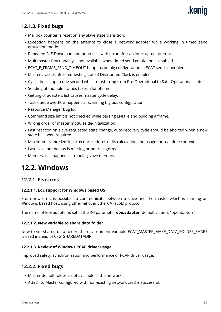#### **12.1.3. Fixed bugs**

- Mailbox counter is reset on any Slave state transition.
- Exception happens on the attempt to close a network adapter while working in timed send emulation mode.
- Repeated FoE Download operation fails with error after an interrupted attempt.
- Multimaster functionality is not available when timed send emulation is enabled.
- ECAT E\_FRAME\_SEND\_TIMEOUT happens on big configuration in ECAT send scheduler
- Master crashes after requesting state if Distributed Clock is enabled.
- Cycle time is up to one second while transferring from Pre-Operational to Safe-Operational states.
- Sending of multiple frames takes a lot of time.
- Getting of adapters list causes master cycle delay.
- Task queue overflow happens at scanning big bus configuration.
- Resource Manager bug fix.
- Command size limit is not checked while parsing ENI file and building a frame.
- Wrong order of master modules de-initialization.
- Fast reaction on slave requested state change, auto-recovery cycle should be aborted when a new state has been required.
- Maximum frame size: incorrect procedures of its calculation and usage for real-time context.
- Last slave on the bus is missing or not recognized.
- Memory leak happens at reading slave memory.

### <span id="page-25-0"></span>**12.2. Windows**

#### **12.2.1. Features**

#### **12.2.1.1. EoE support for Windows based OS**

From now on it is possible to communicate between a slave and the master which is running on Windows based host, using Ethernet over EtherCAT (EoE) protocol.

The name of EoE adapter is set in the INI parameter **eoe.adapter** (default value is "opentaptun").

#### **12.2.1.2. New variable to share data folder**

Now to set shared data folder, the environment variable ECAT\_MASTER\_MAKE\_DATA\_FOLDER\_SHARE is used instead of CFG\_SHAREDATADIR.

#### **12.2.1.3. Review of Windows PCAP driver usage**

Improved safety, synchronization and performance of PCAP driver usage.

#### **12.2.2. Fixed bugs**

- Master default folder is not available in the network.
- Attach to Master configured with non-existing network card is successful.

**kanin**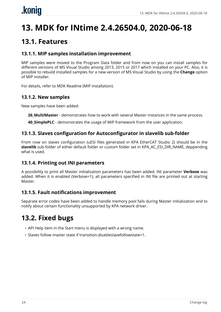# <span id="page-26-0"></span>**13. MDK for INtime 2.4.26504.0, 2020-06-18**

### <span id="page-26-1"></span>**13.1. Features**

#### **13.1.1. MIP samples installation improvement**

MIP samples were moved to the Program Data folder and from now on you can install samples for different versions of MS Visual Studio among 2013, 2015 or 2017 which installed on your PC. Also, it is possible to rebuild installed samples for a new version of MS Visual Studio by using the **Change** option of MIP installer.

For details, refer to MDK Readme (MIP installation).

#### **13.1.2. New samples**

New samples have been added:

**26\_MultiMaster** - demonstrates how to work with several Master instances in the same process.

**40\_SimplePLC** - demonstrates the usage of MIP framework from the user application.

#### **13.1.3. Slaves configuration for Autoconfigurator in slavelib sub-folder**

From now on slaves configuration (uESI files generated in KPA EtherCAT Studio 2) should be in the **slavelib** sub-folder of either default folder or custom folder set in KPA\_AC\_ESI\_DIR\_NAME, deppending what is used.

#### **13.1.4. Printing out INI parameters**

A possibility to print all Master initialization parameters has been added. INI parameter **Verbose** was added. When it is enabled (Verbose=1), all parameters specified in INI file are printed out at starting Master.

#### **13.1.5. Fault notifications improvement**

Separate error codes have been added to handle memory pool fails during Master initialization and to notify about certain functionality unsupported by KPA network driver.

### <span id="page-26-2"></span>**13.2. Fixed bugs**

- API Help item in the Start menu is displayed with a wrong name.
- Slaves follow master state if transition.disableslavefollowstate=1.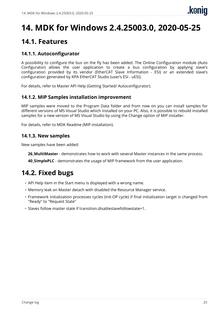## <span id="page-27-0"></span>**14. MDK for Windows 2.4.25003.0, 2020-05-25**

### <span id="page-27-1"></span>**14.1. Features**

#### **14.1.1. Autoconfigurator**

A possibility to configure the bus on the fly has been added. The Online Configuration module (Auto Configurator) allows the user application to create a bus configuration by applying slave's configuration provided by its vendor (EtherCAT Slave Information - ESI) or an extended slave's configuration generated by KPA EtherCAT Studio (user's ESI - uESI).

For details, refer to Master API Help (Getting Started/ Autoconfigurator).

#### **14.1.2. MIP Samples installation improvement**

MIP samples were moved to the Program Data folder and from now on you can install samples for different versions of MS Visual Studio which installed on your PC. Also, it is possible to rebuild installed samples for a new version of MS Visual Studio by using the Change option of MIP installer.

For details, refer to MDK Readme (MIP installation).

#### **14.1.3. New samples**

New samples have been added:

**26 MultiMaster** - demonstrates how to work with several Master instances in the same process.

**40 SimplePLC** - demonstrates the usage of MIP framework from the user application.

### <span id="page-27-2"></span>**14.2. Fixed bugs**

- API Help item in the Start menu is displayed with a wrong name.
- Memory leak on Master detach with disabled the Resource Manager service.
- Framework initialization processes cycles (Init-OP cycle) if final initialization target is changed from "Ready" to "Request State"
- Slaves follow master state if transition.disableslavefollowstate=1.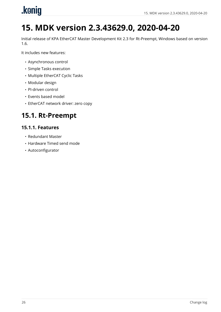<span id="page-28-0"></span>

# **15. MDK version 2.3.43629.0, 2020-04-20**

Initial release of KPA EtherCAT Master Development Kit 2.3 for Rt-Preempt, Windows based on version 1.6.

It includes new features:

- Asynchronous control
- Simple Tasks execution
- Multiple EtherCAT Cyclic Tasks
- Modular design
- PI-driven control
- Events based model
- EtherCAT network driver: zero copy

### <span id="page-28-1"></span>**15.1. Rt-Preempt**

#### **15.1.1. Features**

- Redundant Master
- Hardware Timed send mode
- Autoconfigurator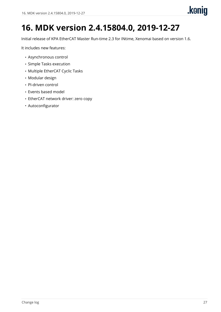## <span id="page-29-0"></span>**16. MDK version 2.4.15804.0, 2019-12-27**

Initial release of KPA EtherCAT Master Run-time 2.3 for INtime, Xenomai based on version 1.6.

It includes new features:

- Asynchronous control
- Simple Tasks execution
- Multiple EtherCAT Cyclic Tasks
- Modular design
- PI-driven control
- Events based model
- EtherCAT network driver: zero copy
- Autoconfigurator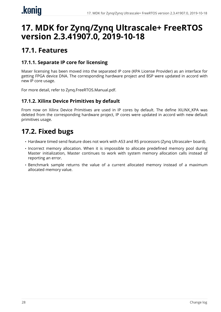### <span id="page-30-0"></span>**17. MDK for Zynq/Zynq Ultrascale+ FreeRTOS version 2.3.41907.0, 2019-10-18**

### <span id="page-30-1"></span>**17.1. Features**

#### **17.1.1. Separate IP core for licensing**

Maser licensing has been moved into the separated IP core (KPA License Provider) as an interface for getting FPGA device DNA. The corresponding hardware project and BSP were updated in accord with new IP core usage.

For more detail, refer to Zynq.FreeRTOS.Manual.pdf.

#### **17.1.2. Xilinx Device Primitives by default**

From now on Xilinx Device Primitives are used in IP cores by default. The define XILINX\_KPA was deleted from the corresponding hardware project, IP cores were updated in accord with new default primitives usage.

### <span id="page-30-2"></span>**17.2. Fixed bugs**

- Hardware timed send feature does not work with A53 and R5 processors (Zynq Ultrascale+ board).
- Incorrect memory allocation. When it is impossible to allocate predefined memory pool during Master initialization, Master continues to work with system memory allocation calls instead of reporting an error.
- Benchmark sample returns the value of a current allocated memory instead of a maximum allocated memory value.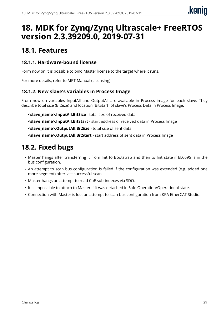### <span id="page-31-0"></span>**18. MDK for Zynq/Zynq Ultrascale+ FreeRTOS version 2.3.39209.0, 2019-07-31**

### <span id="page-31-1"></span>**18.1. Features**

#### **18.1.1. Hardware-bound license**

Form now on it is possible to bind Master license to the target where it runs.

For more details, refer to MRT Manual (Licensing).

#### **18.1.2. New slave's variables in Process Image**

From now on variables InputAll and OutputAll are available in Process image for each slave. They describe total size (BitSize) and location (BitStart) of slave's Process Data in Process Image.

**<slave\_name>.InputAll.BitSize** - total size of received data

**<slave\_name>.InputAll.BitStart** - start address of received data in Process Image

**<slave\_name>.OutputAll.BitSize** - total size of sent data

**<slave\_name>.OutputAll.BitStart** - start address of sent data in Process Image

### <span id="page-31-2"></span>**18.2. Fixed bugs**

- Master hangs after transferring it from Init to Bootstrap and then to Init state if EL6695 is in the bus configuration.
- An attempt to scan bus configuration is failed if the configuration was extended (e.g. added one more segment) after last successful scan.
- Master hangs on attempt to read CoE sub-indexes via SDO.
- It is impossible to attach to Master if it was detached in Safe Operation/Operational state.
- Connection with Master is lost on attempt to scan bus configuration from KPA EtherCAT Studio.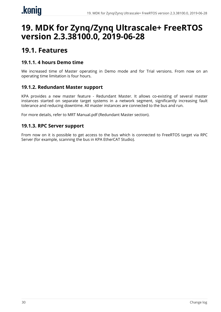### <span id="page-32-0"></span>**19. MDK for Zynq/Zynq Ultrascale+ FreeRTOS version 2.3.38100.0, 2019-06-28**

### <span id="page-32-1"></span>**19.1. Features**

#### **19.1.1. 4 hours Demo time**

We increased time of Master operating in Demo mode and for Trial versions. From now on an operating time limitation is four hours.

#### **19.1.2. Redundant Master support**

KPA provides a new master feature - Redundant Master. It allows co-existing of several master instances started on separate target systems in a network segment, significantly increasing fault tolerance and reducing downtime. All master instances are connected to the bus and run.

For more details, refer to MRT Manual.pdf (Redundant Master section).

#### **19.1.3. RPC Server support**

From now on it is possible to get access to the bus which is connected to FreeRTOS target via RPC Server (for example, scanning the bus in KPA EtherCAT Studio).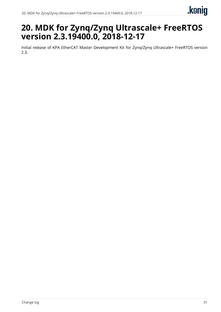### <span id="page-33-0"></span>**20. MDK for Zynq/Zynq Ultrascale+ FreeRTOS version 2.3.19400.0, 2018-12-17**

Initial release of KPA EtherCAT Master Development Kit for Zynq/Zynq Ultrascale+ FreeRTOS version 2.3.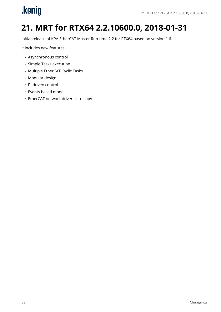# <span id="page-34-0"></span>.konig

# **21. MRT for RTX64 2.2.10600.0, 2018-01-31**

Initial release of KPA EtherCAT Master Run-time 2.2 for RTX64 based on version 1.6.

It includes new features:

- Asynchronous control
- Simple Tasks execution
- Multiple EtherCAT Cyclic Tasks
- Modular design
- PI-driven control
- Events based model
- EtherCAT network driver: zero copy